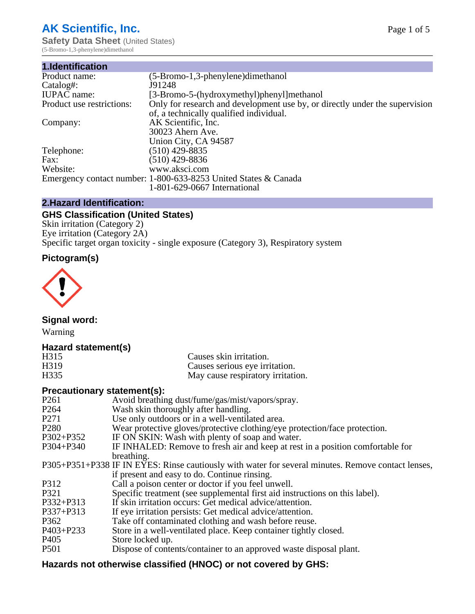# **AK Scientific, Inc.**

**Safety Data Sheet (United States)** (5-Bromo-1,3-phenylene)dimethanol

| $(5-Bromo-1,3-phenylene)$ dimethanol                                        |
|-----------------------------------------------------------------------------|
| J91248                                                                      |
| [3-Bromo-5-(hydroxymethyl)phenyl]methanol                                   |
| Only for research and development use by, or directly under the supervision |
| of, a technically qualified individual.                                     |
| AK Scientific, Inc.                                                         |
| 30023 Ahern Ave.                                                            |
| Union City, CA 94587                                                        |
| $(510)$ 429-8835                                                            |
| (510) 429-8836                                                              |
| www.aksci.com                                                               |
| Emergency contact number: 1-800-633-8253 United States & Canada             |
| 1-801-629-0667 International                                                |
|                                                                             |

# **2.Hazard Identification:**

# **GHS Classification (United States)**

Skin irritation (Category 2) Eye irritation (Category 2A) Specific target organ toxicity - single exposure (Category 3), Respiratory system

# **Pictogram(s)**



**Signal word:**

Warning

# **Hazard statement(s)**

| H <sub>315</sub>  | Causes skin irritation.           |
|-------------------|-----------------------------------|
| H <sub>3</sub> 19 | Causes serious eye irritation.    |
| H335              | May cause respiratory irritation. |

# **Precautionary statement(s):**

| P <sub>261</sub> | Avoid breathing dust/fume/gas/mist/vapors/spray.                                                   |
|------------------|----------------------------------------------------------------------------------------------------|
| P <sub>264</sub> | Wash skin thoroughly after handling.                                                               |
| P <sub>271</sub> | Use only outdoors or in a well-ventilated area.                                                    |
| P <sub>280</sub> | Wear protective gloves/protective clothing/eye protection/face protection.                         |
| P302+P352        | IF ON SKIN: Wash with plenty of soap and water.                                                    |
| $P304 + P340$    | IF INHALED: Remove to fresh air and keep at rest in a position comfortable for                     |
|                  | breathing.                                                                                         |
|                  | P305+P351+P338 IF IN EYES: Rinse cautiously with water for several minutes. Remove contact lenses, |
|                  | if present and easy to do. Continue rinsing.                                                       |
| P312             | Call a poison center or doctor if you feel unwell.                                                 |
| P321             | Specific treatment (see supplemental first aid instructions on this label).                        |
| P332+P313        | If skin irritation occurs: Get medical advice/attention.                                           |
| P337+P313        | If eye irritation persists: Get medical advice/attention.                                          |
| P362             | Take off contaminated clothing and wash before reuse.                                              |
| $P403 + P233$    | Store in a well-ventilated place. Keep container tightly closed.                                   |
| P <sub>405</sub> | Store locked up.                                                                                   |
| P <sub>501</sub> | Dispose of contents/container to an approved waste disposal plant.                                 |
|                  |                                                                                                    |

# **Hazards not otherwise classified (HNOC) or not covered by GHS:**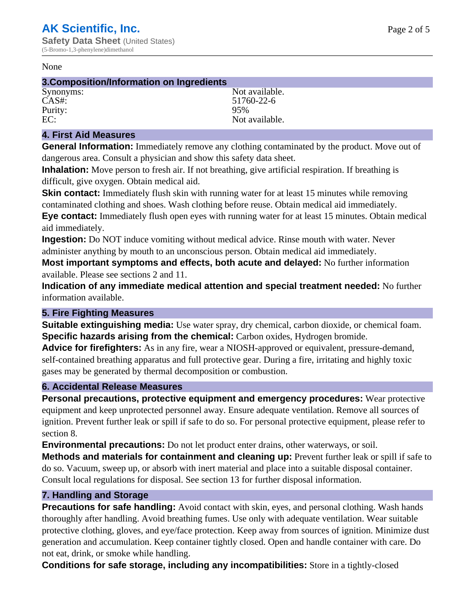#### None

## **3.Composition/Information on Ingredients**

Purity:<br>EC:

Synonyms: Not available. CAS#: 51760-22-6<br>Purity: 95% 95% Not available.

# **4. First Aid Measures**

**General Information:** Immediately remove any clothing contaminated by the product. Move out of dangerous area. Consult a physician and show this safety data sheet.

**Inhalation:** Move person to fresh air. If not breathing, give artificial respiration. If breathing is difficult, give oxygen. Obtain medical aid.

**Skin contact:** Immediately flush skin with running water for at least 15 minutes while removing contaminated clothing and shoes. Wash clothing before reuse. Obtain medical aid immediately. **Eye contact:** Immediately flush open eyes with running water for at least 15 minutes. Obtain medical aid immediately.

**Ingestion:** Do NOT induce vomiting without medical advice. Rinse mouth with water. Never administer anything by mouth to an unconscious person. Obtain medical aid immediately.

**Most important symptoms and effects, both acute and delayed:** No further information available. Please see sections 2 and 11.

**Indication of any immediate medical attention and special treatment needed:** No further information available.

# **5. Fire Fighting Measures**

**Suitable extinguishing media:** Use water spray, dry chemical, carbon dioxide, or chemical foam. **Specific hazards arising from the chemical:** Carbon oxides, Hydrogen bromide.

**Advice for firefighters:** As in any fire, wear a NIOSH-approved or equivalent, pressure-demand, self-contained breathing apparatus and full protective gear. During a fire, irritating and highly toxic gases may be generated by thermal decomposition or combustion.

# **6. Accidental Release Measures**

**Personal precautions, protective equipment and emergency procedures:** Wear protective equipment and keep unprotected personnel away. Ensure adequate ventilation. Remove all sources of ignition. Prevent further leak or spill if safe to do so. For personal protective equipment, please refer to section 8.

**Environmental precautions:** Do not let product enter drains, other waterways, or soil.

**Methods and materials for containment and cleaning up:** Prevent further leak or spill if safe to do so. Vacuum, sweep up, or absorb with inert material and place into a suitable disposal container. Consult local regulations for disposal. See section 13 for further disposal information.

# **7. Handling and Storage**

**Precautions for safe handling:** Avoid contact with skin, eyes, and personal clothing. Wash hands thoroughly after handling. Avoid breathing fumes. Use only with adequate ventilation. Wear suitable protective clothing, gloves, and eye/face protection. Keep away from sources of ignition. Minimize dust generation and accumulation. Keep container tightly closed. Open and handle container with care. Do not eat, drink, or smoke while handling.

**Conditions for safe storage, including any incompatibilities:** Store in a tightly-closed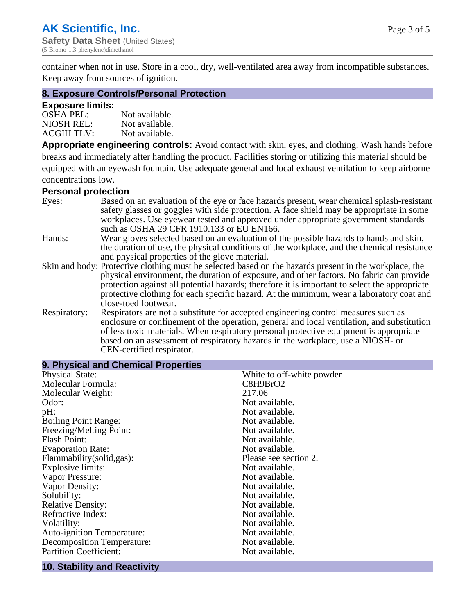container when not in use. Store in a cool, dry, well-ventilated area away from incompatible substances. Keep away from sources of ignition.

## **8. Exposure Controls/Personal Protection**

## **Exposure limits:**

| <b>OSHA PEL:</b>  | Not available. |
|-------------------|----------------|
| NIOSH REL:        | Not available. |
| <b>ACGIH TLV:</b> | Not available. |

**Appropriate engineering controls:** Avoid contact with skin, eyes, and clothing. Wash hands before breaks and immediately after handling the product. Facilities storing or utilizing this material should be equipped with an eyewash fountain. Use adequate general and local exhaust ventilation to keep airborne concentrations low.

## **Personal protection**

| Eyes:        | Based on an evaluation of the eye or face hazards present, wear chemical splash-resistant<br>safety glasses or goggles with side protection. A face shield may be appropriate in some |
|--------------|---------------------------------------------------------------------------------------------------------------------------------------------------------------------------------------|
|              | workplaces. Use eyewear tested and approved under appropriate government standards<br>such as OSHA 29 CFR 1910.133 or EU EN166.                                                       |
| Hands:       | Wear gloves selected based on an evaluation of the possible hazards to hands and skin,                                                                                                |
|              | the duration of use, the physical conditions of the workplace, and the chemical resistance                                                                                            |
|              | and physical properties of the glove material.                                                                                                                                        |
|              | Skin and body: Protective clothing must be selected based on the hazards present in the workplace, the                                                                                |
|              | physical environment, the duration of exposure, and other factors. No fabric can provide                                                                                              |
|              | protection against all potential hazards; therefore it is important to select the appropriate                                                                                         |
|              | protective clothing for each specific hazard. At the minimum, wear a laboratory coat and                                                                                              |
|              | close-toed footwear.                                                                                                                                                                  |
| Respiratory: | Respirators are not a substitute for accepted engineering control measures such as<br>enclosure or confinement of the operation, general and local ventilation, and substitution      |
|              | of less toxic materials. When respiratory personal protective equipment is appropriate                                                                                                |
|              | based on an assessment of respiratory hazards in the workplace, use a NIOSH- or                                                                                                       |
|              | CEN-certified respirator.                                                                                                                                                             |

| 9. Physical and Chemical Properties |                           |
|-------------------------------------|---------------------------|
| <b>Physical State:</b>              | White to off-white powder |
| Molecular Formula:                  | C8H9BrO2                  |
| Molecular Weight:                   | 217.06                    |
| Odor:                               | Not available.            |
| $pH$ :                              | Not available.            |
| <b>Boiling Point Range:</b>         | Not available.            |
| Freezing/Melting Point:             | Not available.            |
| <b>Flash Point:</b>                 | Not available.            |
| <b>Evaporation Rate:</b>            | Not available.            |
| Flammability(solid,gas):            | Please see section 2.     |
| <b>Explosive limits:</b>            | Not available.            |
| Vapor Pressure:                     | Not available.            |
| Vapor Density:                      | Not available.            |
| Solubility:                         | Not available.            |
| <b>Relative Density:</b>            | Not available.            |
| Refractive Index:                   | Not available.            |
| Volatility:                         | Not available.            |
| <b>Auto-ignition Temperature:</b>   | Not available.            |
| <b>Decomposition Temperature:</b>   | Not available.            |
| <b>Partition Coefficient:</b>       | Not available.            |

#### **10. Stability and Reactivity**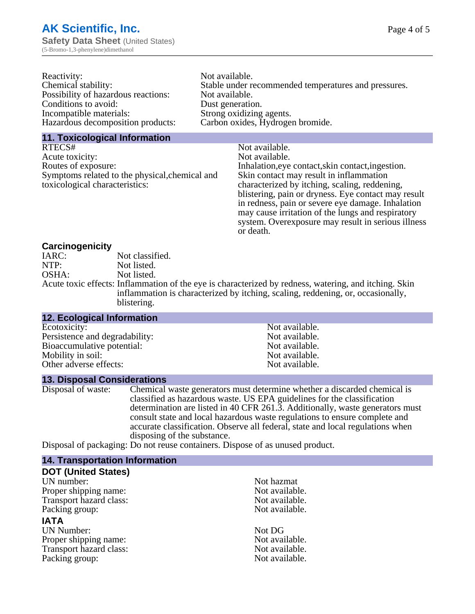| Not available.                                       |
|------------------------------------------------------|
| Stable under recommended temperatures and pressures. |
| Not available.                                       |
| Dust generation.                                     |
| Strong oxidizing agents.                             |
| Carbon oxides, Hydrogen bromide.                     |
|                                                      |

## **11. Toxicological Information**

| RTECS#                                         | Not available.                                      |
|------------------------------------------------|-----------------------------------------------------|
| Acute toxicity:                                | Not available.                                      |
| Routes of exposure:                            | Inhalation, eye contact, skin contact, ingestion.   |
| Symptoms related to the physical, chemical and | Skin contact may result in inflammation             |
| toxicological characteristics:                 | characterized by itching, scaling, reddening,       |
|                                                | blistering, pain or dryness. Eye contact may result |
|                                                | in redness, pain or severe eye damage. Inhalation   |
|                                                | may cause irritation of the lungs and respiratory   |
|                                                | system. Overexposure may result in serious illness  |

or death.

## **Carcinogenicity**

| IARC: | Not classified.                                                                                       |
|-------|-------------------------------------------------------------------------------------------------------|
| NTP:  | Not listed.                                                                                           |
| OSHA: | Not listed.                                                                                           |
|       | Acute toxic effects: Inflammation of the eye is characterized by redness, watering, and itching. Skin |
|       | inflammation is characterized by itching, scaling, reddening, or, occasionally,                       |
|       | blistering.                                                                                           |

| <b>12. Ecological Information</b> |                |  |
|-----------------------------------|----------------|--|
| Ecotoxicity:                      | Not available. |  |
| Persistence and degradability:    | Not available. |  |
| Bioaccumulative potential:        | Not available. |  |
| Mobility in soil:                 | Not available. |  |
| Other adverse effects:            | Not available. |  |

## **13. Disposal Considerations**

Disposal of waste: Chemical waste generators must determine whether a discarded chemical is classified as hazardous waste. US EPA guidelines for the classification determination are listed in 40 CFR 261.3. Additionally, waste generators must consult state and local hazardous waste regulations to ensure complete and accurate classification. Observe all federal, state and local regulations when disposing of the substance.

Disposal of packaging: Do not reuse containers. Dispose of as unused product.

| <b>14. Transportation Information</b> |                |
|---------------------------------------|----------------|
| <b>DOT (United States)</b>            |                |
| UN number:                            | Not hazmat     |
| Proper shipping name:                 | Not available. |
| Transport hazard class:               | Not available. |
| Packing group:                        | Not available. |
| <b>IATA</b>                           |                |
| <b>UN Number:</b>                     | Not DG         |
| Proper shipping name:                 | Not available. |
| Transport hazard class:               | Not available. |
| Packing group:                        | Not available. |